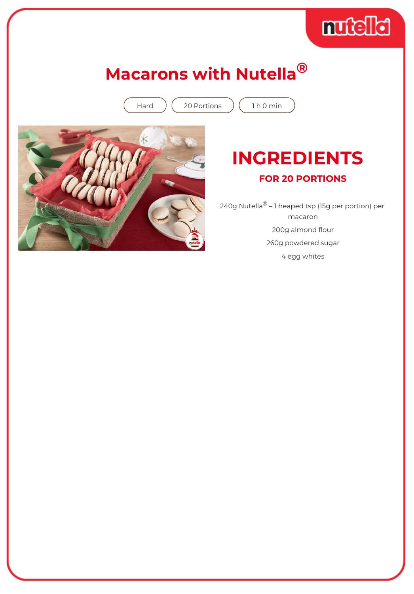## muchet

## **Macarons with Nutella®**

Hard  $(20$  Portions  $(1 h 0$  min



### **INGREDIENTS**

#### **FOR 20 PORTIONS**

240g Nutella $^{\circledR}$  – 1 heaped tsp (15g per portion) per macaron 200g almond flour 260g powdered sugar 4 egg whites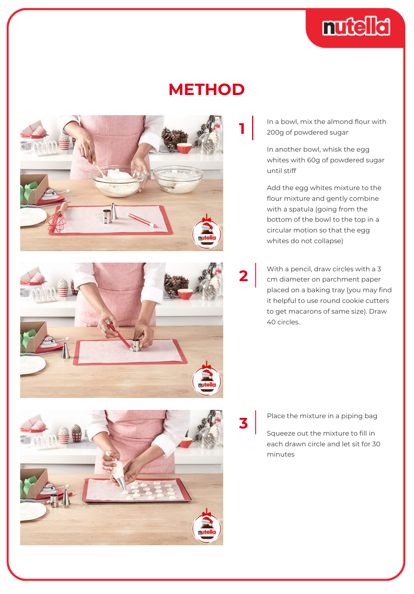

### **METHOD**







In a bowl, mix the almond flour with 200g of powdered sugar

In another bowl, whisk the egg whites with 60g of powdered sugar until stiff

Add the egg whites mixture to the flour mixture and gently combine with a spatula (going from the bottom of the bowl to the top in a circular motion so that the egg whites do not collapse)

With a pencil, draw circles with a 3 cm diameter on parchment paper placed on a baking tray (you may find it helpful to use round cookie cutters to get macarons of same size). Draw 40 circles.

**3**

**2**

#### Place the mixture in a piping bag

Squeeze out the mixture to fill in each drawn circle and let sit for 30 minutes